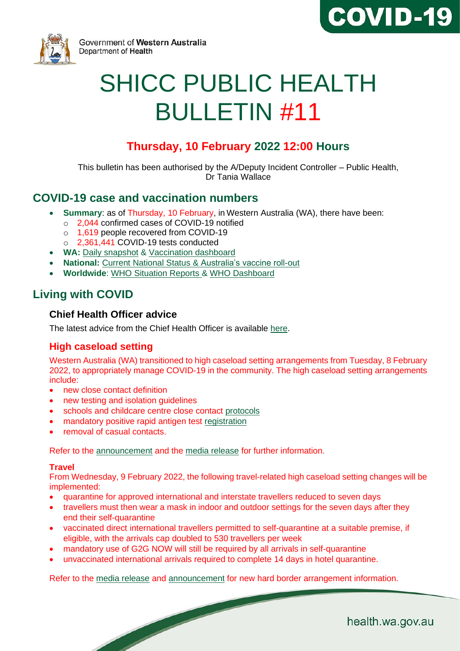



Government of Western Australia Department of Health

# SHICC PUBLIC HEALTH BULLETIN #11

# **Thursday, 10 February 2022 12:00 Hours**

This bulletin has been authorised by the A/Deputy Incident Controller – Public Health, Dr Tania Wallace

# **COVID-19 case and vaccination numbers**

- **Summary**: as of Thursday, 10 February, in Western Australia (WA), there have been:
	- o 2,044 confirmed cases of COVID-19 notified
	- o 1,619 people recovered from COVID-19
	- o 2,361,441 COVID-19 tests conducted
- **WA:** [Daily snapshot](https://ww2.health.wa.gov.au/Articles/A_E/Coronavirus/COVID19-statistics) & [Vaccination dashboard](https://www.wa.gov.au/organisation/covid-communications/covid-19-coronavirus-vaccination-dashboard)
- **National:** [Current National Status](https://www.health.gov.au/resources/publications/coronavirus-covid-19-at-a-glance) & [Australia's vaccine roll-out](https://www.health.gov.au/initiatives-and-programs/covid-19-vaccines/getting-vaccinated-for-covid-19#australias-vaccine-rollout.)
- **Worldwide**: [WHO Situation Reports](https://www.who.int/emergencies/diseases/novel-coronavirus-2019/situation-reports/) & [WHO Dashboard](https://covid19.who.int/?gclid=Cj0KCQjwoub3BRC6ARIsABGhnybJf9dNByiYKpY3Qg0cJoqEyKjTplKEgxKirThnHr726rZlvWG9ZVoaAo6FEALw_wcB)

# **Living with COVID**

#### **Chief Health Officer advice**

The [latest advice](https://www.wa.gov.au/organisation/covid-communications/covid-19-coronavirus-chief-health-officer-advice) from the Chief Health Officer is available [here.](https://www.wa.gov.au/organisation/covid-communications/covid-19-coronavirus-chief-health-officer-advice)

# **High caseload setting**

Western Australia (WA) transitioned to high caseload setting arrangements from Tuesday, 8 February 2022, to appropriately manage COVID-19 in the community. The high caseload setting arrangements include:

- new close contact definition
- new testing and isolation guidelines
- schools and childcare centre close contact [protocols](https://www.wa.gov.au/government/announcements/high-caseload-measures-schools-and-childcare)
- mandatory positive rapid antigen test [registration](https://www.wa.gov.au/government/announcements/mandatory-registration-of-positive-rapid-antigen-tests)

removal of casual contacts.

Refer to the [announcement](https://www.wa.gov.au/government/announcements/high-covid-caseload-settings-under-was-updated-transition-plan) and the [media release](https://www.mediastatements.wa.gov.au/Pages/McGowan/2022/02/WA-begins-next-phase-of-pandemic-new-protocols-to-commence.aspx) for further information.

#### **Travel**

From Wednesday, 9 February 2022, the following travel-related high caseload setting changes will be implemented:

- quarantine for approved international and interstate travellers reduced to seven days
- travellers must then wear a mask in indoor and outdoor settings for the seven days after they end their self-quarantine
- vaccinated direct international travellers permitted to self-quarantine at a suitable premise, if eligible, with the arrivals cap doubled to 530 travellers per week
- mandatory use of G2G NOW will still be required by all arrivals in self-quarantine
- unvaccinated international arrivals required to complete 14 days in hotel quarantine.

Refer to the [media release](https://www.mediastatements.wa.gov.au/Pages/McGowan/2022/02/WA-begins-next-phase-of-pandemic-new-protocols-to-commence.aspx) and [announcement](https://www.wa.gov.au/government/announcements/western-australias-new-hard-border-now-effect) for new hard border arrangement information.

health.wa.gov.au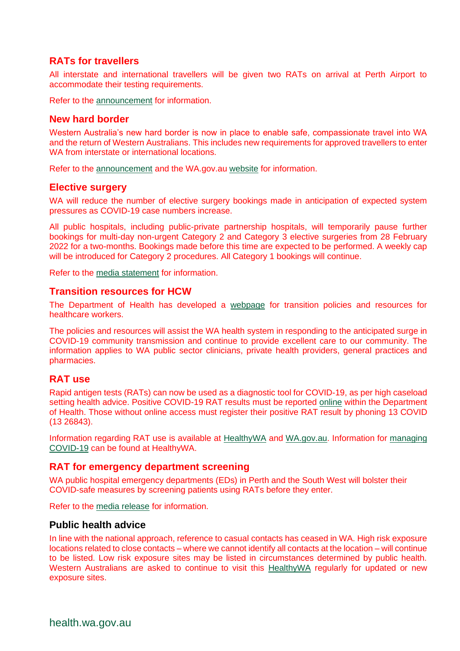## **RATs for travellers**

All interstate and international travellers will be given two RATs on arrival at Perth Airport to accommodate their testing requirements.

Refer to the [announcement](https://www.wa.gov.au/government/announcements/rapid-antigen-tests-interstate-and-international-arrivals) for information.

#### **New hard border**

Western Australia's new hard border is now in place to enable safe, compassionate travel into WA and the return of Western Australians. This includes new requirements for approved travellers to enter WA from interstate or international locations.

Refer to the [announcement](https://www.wa.gov.au/government/announcements/western-australias-new-hard-border-now-effect) and the WA.gov.au [website](https://www.wa.gov.au/government/covid-19-coronavirus/covid-19-coronavirus-travel-wa) for information.

#### **Elective surgery**

WA will reduce the number of elective surgery bookings made in anticipation of expected system pressures as COVID-19 case numbers increase.

All public hospitals, including public-private partnership hospitals, will temporarily pause further bookings for multi-day non-urgent Category 2 and Category 3 elective surgeries from 28 February 2022 for a two-months. Bookings made before this time are expected to be performed. A weekly cap will be introduced for Category 2 procedures. All Category 1 bookings will continue.

Refer to the [media statement](https://ww2.health.wa.gov.au/Media-releases/2022/New-elective-surgery-bookings-paused-allowing-staff-redeployment) for information.

#### **Transition resources for HCW**

The Department of Health has developed a [webpage](https://ww2.health.wa.gov.au/Articles/A_E/Coronavirus/COVID19-information-for-health-professionals/Transition-policies-and-resources-for-healthcare-workers) for transition policies and resources for healthcare workers.

The policies and resources will assist the WA health system in responding to the anticipated surge in COVID-19 community transmission and continue to provide excellent care to our community. The information applies to WA public sector clinicians, private health providers, general practices and pharmacies.

#### **RAT use**

Rapid antigen tests (RATs) can now be used as a diagnostic tool for COVID-19, as per high caseload setting health advice. Positive COVID-19 RAT results must be reported [online](https://datalibrary-rc.health.wa.gov.au/surveys/?s=WDLLNTW4RDX8AWPH&var=1) within the Department of Health. Those without online access must register their positive RAT result by phoning 13 COVID (13 26843).

Information regarding RAT use is available at [HealthyWA](https://www.healthywa.wa.gov.au/Articles/A_E/Coronavirus/COVID19-testing/Rapid-Antigen-Test) and [WA.gov.au.](https://www.wa.gov.au/government/announcements/mandatory-registration-of-positive-rapid-antigen-tests) Information for [managing](https://www.healthywa.wa.gov.au/Articles/A_E/Coronavirus/Managing-COVID19-at-home-and-in-the-community)  [COVID-19](https://www.healthywa.wa.gov.au/Articles/A_E/Coronavirus/Managing-COVID19-at-home-and-in-the-community) can be found at HealthyWA.

#### **RAT for emergency department screening**

WA public hospital emergency departments (EDs) in Perth and the South West will bolster their COVID-safe measures by screening patients using RATs before they enter.

Refer to the [media release](https://www.mediastatements.wa.gov.au/Pages/McGowan/2022/02/Rapid-Antigen-Tests-at-Perth-and-South-West-hospital-EDs-for-screening.aspx) for information.

#### **Public health advice**

In line with the national approach, reference to casual contacts has ceased in WA. High risk exposure locations related to close contacts – where we cannot identify all contacts at the location – will continue to be listed. Low risk exposure sites may be listed in circumstances determined by public health. Western Australians are asked to continue to visit this [HealthyWA](https://www.healthywa.wa.gov.au/Articles/A_E/Coronavirus/Locations-visited-by-confirmed-cases) regularly for updated or new exposure sites.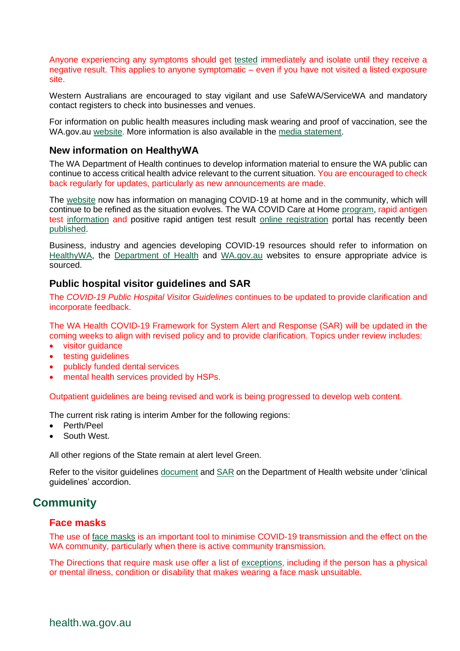Anyone experiencing any symptoms should get [tested](https://www.healthywa.wa.gov.au/Articles/A_E/Coronavirus/COVID-clinics) immediately and isolate until they receive a negative result. This applies to anyone symptomatic – even if you have not visited a listed exposure site.

Western Australians are encouraged to stay vigilant and use SafeWA/ServiceWA and mandatory contact registers to check into businesses and venues.

For information on public health measures including mask wearing and proof of vaccination, see the [WA.gov.au](https://www.wa.gov.au/government/announcements/mask-mandate-eased-perth-and-peel) [website.](https://www.wa.gov.au/government/covid-19-coronavirus/covid-19-coronavirus-what-you-can-and-cant-do) More information is also available in the [media statement.](https://ww2.health.wa.gov.au/Media-releases/2022/COVID-19-update-8-February-2022)

#### **New information on HealthyWA**

The WA Department of Health continues to develop information material to ensure the WA public can continue to access critical health advice relevant to the current situation. You are encouraged to check back regularly for updates, particularly as new announcements are made.

The [website](https://www.healthywa.wa.gov.au/Articles/A_E/Coronavirus/Managing-COVID19-at-home-and-in-the-community) now has information on managing COVID-19 at home and in the community, which will continue to be refined as the situation evolves. The WA COVID Care at Home [program,](https://www.healthywa.wa.gov.au/Articles/A_E/Coronavirus/Managing-COVID19-at-home-and-in-the-community/WA-COVID-Care-at-Home) rapid antigen test [information](https://www.healthywa.wa.gov.au/Articles/A_E/Coronavirus/COVID19-testing/Rapid-Antigen-Test) and positive rapid antigen test result [online registration](https://datalibrary-rc.health.wa.gov.au/surveys/index.php?s=WDLLNTW4RDX8AWPH) portal has recently been [published.](https://www.healthywa.wa.gov.au/Articles/A_E/Coronavirus)

Business, industry and agencies developing COVID-19 resources should refer to information on [HealthyWA,](https://www.healthywa.wa.gov.au/Articles/A_E/Coronavirus) the [Department of Health](https://ww2.health.wa.gov.au/Articles/A_E/Coronavirus) and [WA.gov.au](https://www.wa.gov.au/) websites to ensure appropriate advice is sourced.

#### **Public hospital visitor guidelines and SAR**

The *COVID-19 Public Hospital Visitor Guidelines* continues to be updated to provide clarification and incorporate feedback.

The WA Health COVID-19 Framework for System Alert and Response (SAR) will be updated in the coming weeks to align with revised policy and to provide clarification. Topics under review includes:

- visitor guidance
- testing guidelines
- publicly funded dental services
- mental health services provided by HSPs.

Outpatient guidelines are being revised and work is being progressed to develop web content.

The current risk rating is interim Amber for the following regions:

- Perth/Peel
- South West.

All other regions of the State remain at alert level Green.

Refer to the visitor guidelines [document](https://ww2.health.wa.gov.au/~/media/Corp/Documents/Health-for/Infectious-disease/COVID19/COVID19-Public-hospital-visitor-guidelines.pdf) and [SAR](https://ww2.health.wa.gov.au/~/media/Corp/Documents/Health-for/Infectious-disease/COVID19/WA-Health-COVID-19-Framework-for-System-Alert-and-Response.pdf) on the Department of Health website under 'clinical guidelines' accordion.

# **Community**

#### **Face masks**

The use of [face masks](https://www.wa.gov.au/government/covid-19-coronavirus/covid-19-coronavirus-what-you-can-and-cant-do#wearmasks) is an important tool to minimise COVID-19 transmission and the effect on the WA community, particularly when there is active community transmission.

The Directions that require mask use offer a list of [exceptions,](https://www.wa.gov.au/government/publications/covid-19-coronavirus-public-health-and-social-measures-perth-peel-and-the-south-west-frequently-asked-questions#exemptions-from-mask-requirements) including if the person has a physical or mental illness, condition or disability that makes wearing a face mask unsuitable.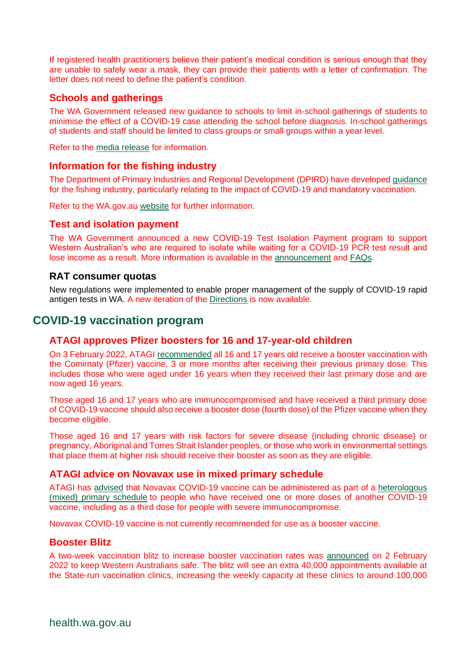If registered health practitioners believe their patient's medical condition is serious enough that they are unable to safely wear a mask, they can provide their patients with a letter of confirmation. The letter does not need to define the patient's condition.

## **Schools and gatherings**

The WA Government released new guidance to schools to limit in-school gatherings of students to minimise the effect of a COVID-19 case attending the school before diagnosis. In-school gatherings of students and staff should be limited to class groups or small groups within a year level.

Refer to the [media release](https://www.mediastatements.wa.gov.au/Pages/McGowan/2022/02/Updated-advice-for-schools-on-assemblies-and-large-gatherings.aspx) for information.

#### **Information for the fishing industry**

The Department of Primary Industries and Regional Development (DPIRD) have developed [guidance](https://www.wa.gov.au/system/files/2022-02/Information%20for%20the%20fishing%20industry_FINAL_7%20February%202022.pdf) for the fishing industry, particularly relating to the impact of COVID-19 and mandatory vaccination.

Refer to the WA.gov.au [website](https://www.wa.gov.au/service/primary-industries/marine-and-rural-support/covid-19-support-our-primary-industries) for further information.

#### **Test and isolation payment**

The WA Government announced a new COVID-19 Test Isolation Payment program to support Western Australian's who are required to isolate while waiting for a COVID-19 PCR test result and lose income as a result. More information is available in the [announcement](https://www.wa.gov.au/government/announcements/covid-19-test-isolation-payments-eligible-workers-and-carers) an[d FAQs.](https://www.wa.gov.au/government/publications/covid-19-coronavirus-test-isolation-payment-frequently-asked-questions)

#### **RAT consumer quotas**

New regulations were implemented to enable proper management of the supply of COVID-19 rapid antigen tests in WA. A new iteration of the [Directions](file://///hdwa.health.wa.gov.au/users/home8/he164987/Offline%20Records%20(HE)/PHEOC%20Bulletin%20Approved(6)/Rapid%20Antigen%20Test%20(Restrictions%20on%20Sale%20and%20Supply)%20Directions%20(No%202)) is now available.

# **COVID-19 vaccination program**

#### **ATAGI approves Pfizer boosters for 16 and 17-year-old children**

On 3 February 2022, ATAGI [recommended](https://urldefense.com/v3/__https:/health.us20.list-manage.com/track/click?u=32cc4a56e0e39b38a4d4cf223&id=2c76042a92&e=91efc1e34a__;!!Lav448XFWxY!p3UYpii4nX-qHTww8WbUZRt-IQ6yD24Ty1IHEpsmKjWV3Kk_wirIybuRTlLlwvavvP2GhTq1$) all 16 and 17 years old receive a booster vaccination with the Comirnaty (Pfizer) vaccine, 3 or more months after receiving their previous primary dose. This includes those who were aged under 16 years when they received their last primary dose and are now aged 16 years.

Those aged 16 and 17 years who are immunocompromised and have received a third primary dose of COVID-19 vaccine should also receive a booster dose (fourth dose) of the Pfizer vaccine when they become eligible.

Those aged 16 and 17 years with risk factors for severe disease (including chronic disease) or pregnancy, Aboriginal and Torres Strait Islander peoples, or those who work in environmental settings that place them at higher risk should receive their booster as soon as they are eligible.

#### **ATAGI advice on Novavax use in mixed primary schedule**

ATAGI has [advised](https://www.health.gov.au/news/atagi-statement-on-the-use-of-novavax-covid-19-vaccine-nuvaxovid) that Novavax COVID-19 vaccine can be administered as part of a [heterologous](https://www.health.gov.au/resources/publications/covid-19-vaccination-clinical-advice-on-the-use-of-a-different-covid-19-vaccine-as-the-second-dose)  [\(mixed\) primary schedule](https://www.health.gov.au/resources/publications/covid-19-vaccination-clinical-advice-on-the-use-of-a-different-covid-19-vaccine-as-the-second-dose) to people who have received one or more doses of another COVID-19 vaccine, including as a third dose for people with severe immunocompromise.

Novavax COVID-19 vaccine is not currently recommended for use as a booster vaccine.

#### **Booster Blitz**

A two-week vaccination blitz to increase booster vaccination rates was [announced](https://www.mediastatements.wa.gov.au/Pages/McGowan/2022/02/Third-dose-vaccination-blitz-to-keep-Western-Australians-safe.aspx) on 2 February 2022 to keep Western Australians safe. The blitz will see an extra 40,000 appointments available at the State-run vaccination clinics, increasing the weekly capacity at these clinics to around 100,000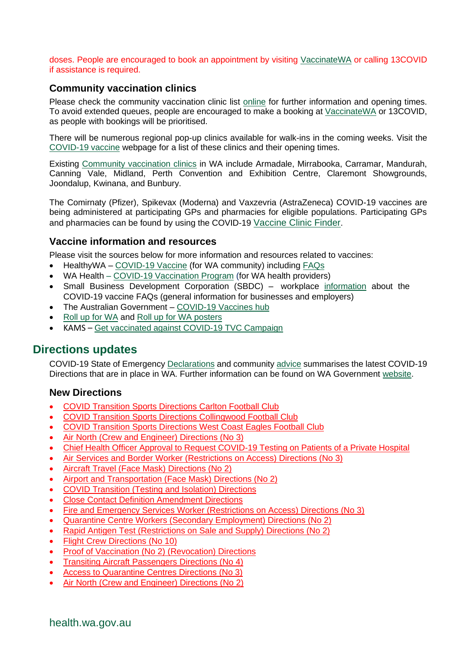#### doses. People are encouraged to book an appointment by visiting [VaccinateWA](https://vaccinatewa.health.wa.gov.au/s/login/?startURL=%2Fs%2F&ec=302) or calling 13COVID if assistance is required.

## **Community vaccination clinics**

Please check the community vaccination clinic list [online](https://www.healthywa.wa.gov.au/Articles/A_E/Coronavirus/COVID19-vaccine) for further information and opening times. To avoid extended queues, people are encouraged to make a booking at [VaccinateWA](https://vaccinatewa.health.wa.gov.au/s/login/?ec=302&startURL=%2Fs%2F) or 13COVID, as people with bookings will be prioritised.

There will be numerous regional pop-up clinics available for walk-ins in the coming weeks. Visit the [COVID-19 vaccine](https://www.healthywa.wa.gov.au/Articles/A_E/Coronavirus/COVID19-vaccine/Online-booking-FAQs) webpage for a list of these clinics and their opening times.

Existing [Community vaccination clinics](https://www.healthywa.wa.gov.au/Articles/A_E/Coronavirus/COVID19-vaccine) in WA include Armadale, Mirrabooka, Carramar, Mandurah, Canning Vale, Midland, Perth Convention and Exhibition Centre, Claremont Showgrounds, Joondalup, Kwinana, and Bunbury.

The Comirnaty (Pfizer), Spikevax (Moderna) and Vaxzevria (AstraZeneca) COVID-19 vaccines are being administered at participating GPs and pharmacies for eligible populations. Participating GPs and pharmacies can be found by using the COVID-19 [Vaccine Clinic Finder](https://www.health.gov.au/resources/apps-and-tools/covid-19-vaccine-clinic-finder).

#### **Vaccine information and resources**

Please visit the sources below for more information and resources related to vaccines:

- HealthyWA [COVID-19 Vaccine](https://ww2.health.wa.gov.au/sitecore/content/Healthy-WA/Articles/A_E/Coronavirus/COVID19-vaccine) (for WA community) including [FAQs](https://ww2.health.wa.gov.au/sitecore/content/Healthy-WA/Articles/A_E/Coronavirus/COVID19-vaccine/FAQs)
- WA Health [COVID-19 Vaccination Program](https://ww2.health.wa.gov.au/Articles/A_E/Coronavirus/COVID19-vaccination-program) (for WA health providers)
- Small Business Development Corporation (SBDC) workplace [information](https://www.smallbusiness.wa.gov.au/blog/faqs-workplace-information-about-covid-19-vaccine) about the COVID-19 vaccine FAQs (general information for businesses and employers)
- The Australian Government [COVID-19 Vaccines hub](https://www.health.gov.au/initiatives-and-programs/covid-19-vaccines)
- Roll [up for WA](https://rollup.wa.gov.au/) and Roll [up for WA posters](https://www.dlgsc.wa.gov.au/department/news/news-article/2021/06/09/roll-up-for-wa-posters)
- KAMS [Get vaccinated against COVID-19](https://kimberley-vaccines.multiscreensite.com/kams-2021-vaccine-campaign) TVC Campaign

# **Directions updates**

COVID-19 State of Emergency [Declarations](https://www.wa.gov.au/government/document-collections/covid-19-coronavirus-state-of-emergency-declarations) and community [advice](https://www.wa.gov.au/organisation/department-of-the-premier-and-cabinet/covid-19-coronavirus-community-advice) summarises the latest COVID-19 Directions that are in place in WA. Further information can be found on WA Government [website.](https://www.wa.gov.au/government/covid-19-coronavirus)

#### **New Directions**

- [COVID Transition Sports Directions Carlton Football Club](https://www.wa.gov.au/government/publications/covid-transition-sports-directions-carlton-football-club)
- [COVID Transition Sports Directions Collingwood Football Club](https://www.wa.gov.au/government/publications/covid-transition-sports-directions-collingwood-football-club)
- [COVID Transition Sports Directions West Coast Eagles Football Club](https://www.wa.gov.au/government/publications/covid-transition-sports-directions-west-coast-eagles-football-club)
- [Air North \(Crew and Engineer\) Directions \(No 3\)](https://www.wa.gov.au/government/publications/air-north-crew-and-engineer-directions-no-3)
- [Chief Health Officer Approval to Request COVID-19 Testing on Patients of a Private Hospital](https://www.wa.gov.au/government/publications/chief-health-officer-approval-request-covid-19-testing-patients-of-private-hospital)
- [Air Services and Border Worker \(Restrictions on Access\) Directions \(No 3\)](https://www.wa.gov.au/government/publications/air-services-and-border-worker-restrictions-access-directions-no-3)
- [Aircraft Travel \(Face Mask\)](https://www.wa.gov.au/government/publications/aircraft-travel-face-mask-directions-no-2) Directions (No 2)
- [Airport and Transportation \(Face Mask\) Directions \(No 2\)](https://www.wa.gov.au/government/publications/airport-and-transportation-face-mask-directions-no-2)
- [COVID Transition \(Testing and Isolation\) Directions](https://www.wa.gov.au/government/publications/covid-transition-testing-and-isolation-directions)
- [Close Contact Definition Amendment Directions](https://www.wa.gov.au/government/publications/close-contact-definition-amendment-directions)
- [Fire and Emergency Services Worker \(Restrictions on Access\) Directions \(No 3\)](https://www.wa.gov.au/government/publications/fire-and-emergency-services-worker-restrictions-access-directions-no-3)
- [Quarantine Centre Workers \(Secondary Employment\) Directions \(No 2\)](https://www.wa.gov.au/government/publications/quarantine-centre-workers-secondary-employment-directions-no-2)
- [Rapid Antigen Test \(Restrictions on Sale and Supply\) Directions \(No 2\)](https://www.wa.gov.au/government/publications/rapid-antigen-test-restrictions-sale-and-supply-directions-no-2)
- [Flight Crew Directions \(No 10\)](https://www.wa.gov.au/government/publications/flight-crew-directions-no-10)
- [Proof of Vaccination \(No 2\) \(Revocation\) Directions](https://www.wa.gov.au/government/publications/proof-of-vaccination-no-2-revocation-directions)
- [Transiting Aircraft Passengers Directions \(No 4\)](https://www.wa.gov.au/government/publications/transiting-aircraft-passengers-directions-no-4)
- [Access to Quarantine Centres Directions \(No 3\)](https://www.wa.gov.au/government/publications/access-quarantine-centres-directions-no-3)
- [Air North \(Crew and Engineer\) Directions \(No 2\)](https://www.wa.gov.au/government/publications/air-north-crew-and-engineer-directions-no-2)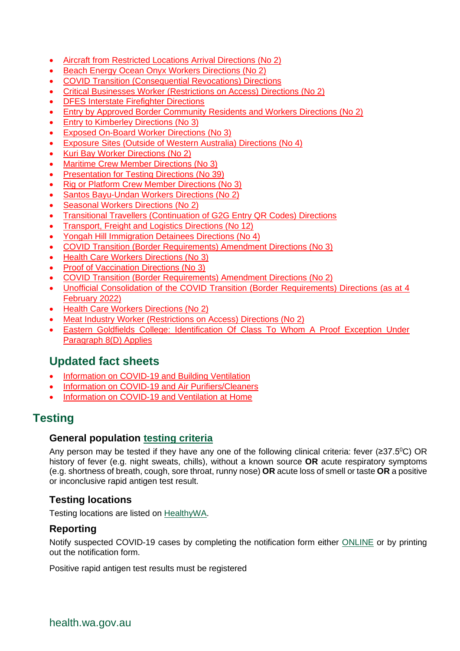- [Aircraft from Restricted Locations Arrival Directions \(No 2\)](https://www.wa.gov.au/government/publications/aircraft-restricted-locations-arrival-directions-no-2)
- [Beach Energy Ocean Onyx Workers Directions \(No 2\)](https://www.wa.gov.au/government/publications/beach-energy-ocean-onyx-workers-directions-no-2)
- [COVID Transition \(Consequential Revocations\) Directions](https://www.wa.gov.au/government/publications/covid-transition-consequential-revocations-directions)
- [Critical Businesses Worker \(Restrictions on Access\) Directions \(No 2\)](https://www.wa.gov.au/government/publications/critical-businesses-worker-restrictions-access-directions-no-2)
- [DFES Interstate Firefighter Directions](file://///hdwa.health.wa.gov.au/users/home8/he164987/Offline%20Records%20(HE)/PHEOC%20Bulletin%20Approved(6)/DFES%20Interstate%20Firefighter%20Directions)
- [Entry by Approved Border Community Residents and Workers Directions \(No 2\)](https://www.wa.gov.au/government/publications/entry-approved-border-community-residents-and-workers-directions-no-2)
- [Entry to Kimberley Directions \(No 3\)](https://www.wa.gov.au/government/publications/entry-kimberley-directions-no-3)
- [Exposed On-Board Worker Directions \(No 3\)](https://www.wa.gov.au/government/publications/exposed-board-worker-directions-no-3)
- [Exposure Sites \(Outside of Western Australia\) Directions \(No 4\)](https://www.wa.gov.au/government/publications/exposure-sites-outside-of-western-australia-directions-no-4)
- [Kuri Bay Worker Directions \(No 2\)](https://www.wa.gov.au/government/publications/kuri-bay-worker-directions-no-2)
- [Maritime Crew Member Directions \(No 3\)](https://www.wa.gov.au/government/publications/maritime-crew-member-directions-no-3)
- [Presentation for Testing Directions \(No 39\)](https://www.wa.gov.au/government/publications/presentation-testing-directions-no-39)
- [Rig or Platform Crew Member Directions \(No 3\)](file://///hdwa.health.wa.gov.au/users/home8/he164987/Offline%20Records%20(HE)/PHEOC%20Bulletin%20Approved(6)/Rig%20or%20Platform%20Crew%20Member%20Directions%20(No%203))
- [Santos Bayu-Undan Workers Directions \(No 2\)](https://www.wa.gov.au/government/publications/santos-bayu-undan-workers-directions-no-2)
- [Seasonal Workers Directions \(No 2\)](https://www.wa.gov.au/government/publications/seasonal-workers-directions-no-2)
- [Transitional Travellers \(Continuation of G2G Entry QR Codes\) Directions](https://www.wa.gov.au/government/publications/transitional-travellers-continuation-of-g2g-entry-qr-codes-directions)
- [Transport, Freight and Logistics Directions \(No 12\)](https://www.wa.gov.au/government/publications/transport-freight-and-logistics-directions-no-12)
- [Yongah Hill Immigration Detainees Directions \(No 4\)](https://www.wa.gov.au/government/publications/yongah-hill-immigration-detainees-directions-no-4)
- [COVID Transition \(Border Requirements\) Amendment Directions \(No 3\)](https://www.wa.gov.au/government/publications/covid-transition-border-requirements-amendment-directions-no-3)
- [Health Care Workers Directions \(No 3\)](https://www.wa.gov.au/government/publications/health-care-workers-directions-no-3)
- [Proof of Vaccination Directions \(No 3\)](https://www.wa.gov.au/government/publications/proof-of-vaccination-directions-no-3)
- [COVID Transition \(Border Requirements\) Amendment Directions \(No 2\)](https://www.wa.gov.au/government/publications/revoked-covid-transition-border-requirements-amendment-directions-no-2)
- [Unofficial Consolidation of the COVID Transition \(Border](https://www.wa.gov.au/government/publications/unofficial-consolidation-of-the-covid-transition-border-requirements-directions-4-february-2022) Requirements) Directions (as at 4 [February 2022\)](https://www.wa.gov.au/government/publications/unofficial-consolidation-of-the-covid-transition-border-requirements-directions-4-february-2022)
- [Health Care Workers Directions \(No 2\)](https://www.wa.gov.au/government/publications/revoked-health-care-workers-directions-no-2)
- [Meat Industry Worker \(Restrictions on Access\) Directions \(No 2\)](https://www.wa.gov.au/government/publications/meat-industry-worker-restrictions-access-directions-no-2)
- [Eastern Goldfields College: Identification Of Class To Whom A Proof Exception Under](https://www.wa.gov.au/government/publications/eastern-goldfields-college-identification-of-class-whom-proof-exception-under-paragraph-8d-applies)  [Paragraph 8\(D\) Applies](https://www.wa.gov.au/government/publications/eastern-goldfields-college-identification-of-class-whom-proof-exception-under-paragraph-8d-applies)

# **Updated fact sheets**

- [Information on COVID-19 and Building Ventilation](https://ww2.health.wa.gov.au/~/media/Corp/Documents/Health-for/Infectious-disease/COVID19/COVID-19-ventilation-in-buildings.pdf)
- [Information on COVID-19 and Air Purifiers/Cleaners](https://ww2.health.wa.gov.au/~/media/Corp/Documents/Health-for/Infectious-disease/COVID19/COVID-19-and-air-purifiers-cleaners.pdf)
- [Information on COVID-19 and Ventilation at Home](https://ww2.health.wa.gov.au/~/media/Corp/Documents/Health-for/Infectious-disease/COVID19/COVID-19-ventilation-at-home.pdf)

# **Testing**

#### **General population [testing criteria](https://www.healthywa.wa.gov.au/sitecore/content/Corporate/Articles/A_E/Coronavirus/COVID19-information-for-health-professionals)**

Any person may be tested if they have any one of the following clinical criteria: fever ( $\geq 37.5^{\circ}$ C) OR history of fever (e.g. night sweats, chills), without a known source **OR** acute respiratory symptoms (e.g. shortness of breath, cough, sore throat, runny nose) **OR** acute loss of smell or taste **OR** a positive or inconclusive rapid antigen test result.

## **Testing locations**

Testing locations are listed on [HealthyWA.](https://healthywa.wa.gov.au/Articles/A_E/COVID-clinics)

#### **Reporting**

Notify suspected COVID-19 cases by completing the notification form either [ONLINE](https://cdcwa.health.wa.gov.au/surveys/?s=3PANDLMR84) or by printing out the notification form.

Positive rapid antigen test results must be registered